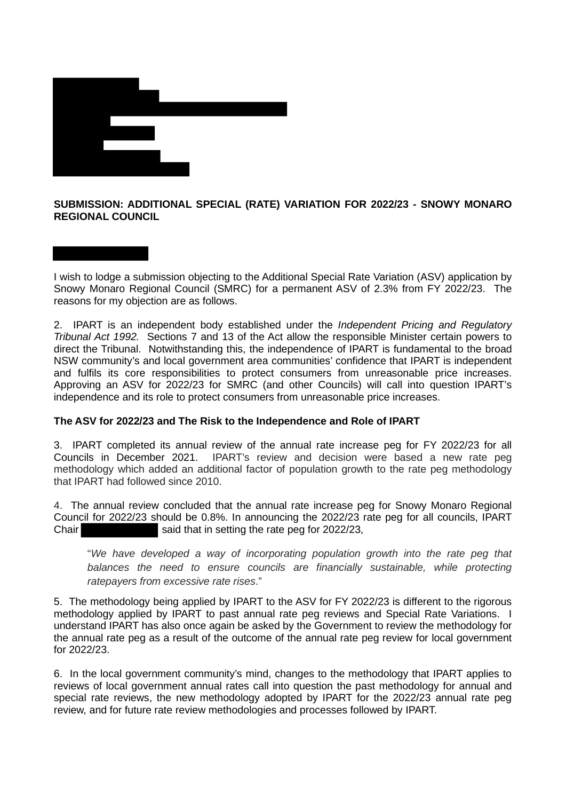

## **SUBMISSION: ADDITIONAL SPECIAL (RATE) VARIATION FOR 2022/23 - SNOWY MONARO REGIONAL COUNCIL**

I wish to lodge a submission objecting to the Additional Special Rate Variation (ASV) application by Snowy Monaro Regional Council (SMRC) for a permanent ASV of 2.3% from FY 2022/23. The reasons for my objection are as follows.

2. IPART is an independent body established under the *Independent Pricing and Regulatory Tribunal Act 1992.* Sections 7 and 13 of the Act allow the responsible Minister certain powers to direct the Tribunal. Notwithstanding this, the independence of IPART is fundamental to the broad NSW community's and local government area communities' confidence that IPART is independent and fulfils its core responsibilities to protect consumers from unreasonable price increases. Approving an ASV for 2022/23 for SMRC (and other Councils) will call into question IPART's independence and its role to protect consumers from unreasonable price increases.

## **The ASV for 2022/23 and The Risk to the Independence and Role of IPART**

3. IPART completed its annual review of the annual rate increase peg for FY 2022/23 for all Councils in December 2021. IPART's review and decision were based a new rate peg methodology which added an additional factor of population growth to the rate peg methodology that IPART had followed since 2010.

4. The annual review concluded that the annual rate increase peg for Snowy Monaro Regional Council for 2022/23 should be 0.8%. In announcing the 2022/23 rate peg for all councils, IPART Chair said that in setting the rate peg for 2022/23,

"*We have developed a way of incorporating population growth into the rate peg that*  balances the need to ensure councils are financially sustainable, while protecting *ratepayers from excessive rate rises*."

5. The methodology being applied by IPART to the ASV for FY 2022/23 is different to the rigorous methodology applied by IPART to past annual rate peg reviews and Special Rate Variations. I understand IPART has also once again be asked by the Government to review the methodology for the annual rate peg as a result of the outcome of the annual rate peg review for local government for 2022/23.

6. In the local government community's mind, changes to the methodology that IPART applies to reviews of local government annual rates call into question the past methodology for annual and special rate reviews, the new methodology adopted by IPART for the 2022/23 annual rate peg review, and for future rate review methodologies and processes followed by IPART.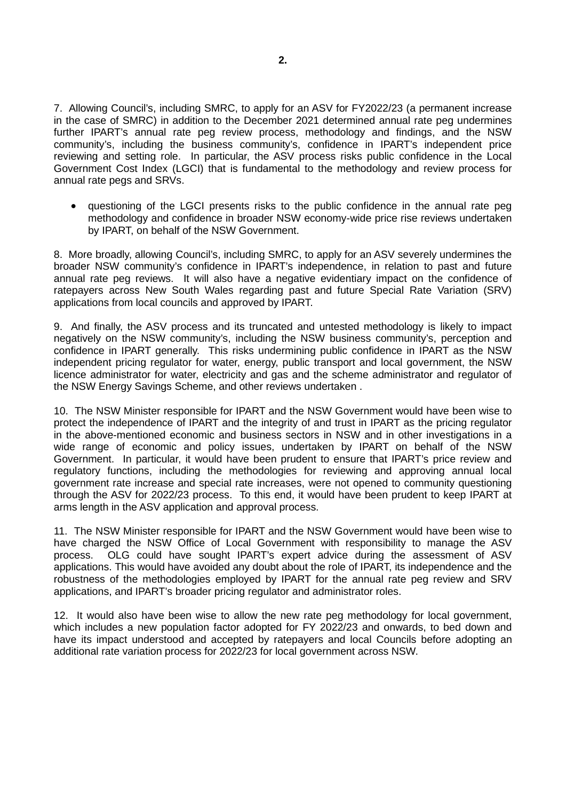7. Allowing Council's, including SMRC, to apply for an ASV for FY2022/23 (a permanent increase in the case of SMRC) in addition to the December 2021 determined annual rate peg undermines further IPART's annual rate peg review process, methodology and findings, and the NSW community's, including the business community's, confidence in IPART's independent price reviewing and setting role. In particular, the ASV process risks public confidence in the Local Government Cost Index (LGCI) that is fundamental to the methodology and review process for annual rate pegs and SRVs.

• questioning of the LGCI presents risks to the public confidence in the annual rate peg methodology and confidence in broader NSW economy-wide price rise reviews undertaken by IPART, on behalf of the NSW Government.

8. More broadly, allowing Council's, including SMRC, to apply for an ASV severely undermines the broader NSW community's confidence in IPART's independence, in relation to past and future annual rate peg reviews. It will also have a negative evidentiary impact on the confidence of ratepayers across New South Wales regarding past and future Special Rate Variation (SRV) applications from local councils and approved by IPART.

9. And finally, the ASV process and its truncated and untested methodology is likely to impact negatively on the NSW community's, including the NSW business community's, perception and confidence in IPART generally. This risks undermining public confidence in IPART as the NSW independent pricing regulator for water, energy, public transport and local government, the NSW licence administrator for water, electricity and gas and the scheme administrator and regulator of the NSW Energy Savings Scheme, and other reviews undertaken .

10. The NSW Minister responsible for IPART and the NSW Government would have been wise to protect the independence of IPART and the integrity of and trust in IPART as the pricing regulator in the above-mentioned economic and business sectors in NSW and in other investigations in a wide range of economic and policy issues, undertaken by IPART on behalf of the NSW Government. In particular, it would have been prudent to ensure that IPART's price review and regulatory functions, including the methodologies for reviewing and approving annual local government rate increase and special rate increases, were not opened to community questioning through the ASV for 2022/23 process. To this end, it would have been prudent to keep IPART at arms length in the ASV application and approval process.

11. The NSW Minister responsible for IPART and the NSW Government would have been wise to have charged the NSW Office of Local Government with responsibility to manage the ASV process. OLG could have sought IPART's expert advice during the assessment of ASV applications. This would have avoided any doubt about the role of IPART, its independence and the robustness of the methodologies employed by IPART for the annual rate peg review and SRV applications, and IPART's broader pricing regulator and administrator roles.

12. It would also have been wise to allow the new rate peg methodology for local government, which includes a new population factor adopted for FY 2022/23 and onwards, to bed down and have its impact understood and accepted by ratepayers and local Councils before adopting an additional rate variation process for 2022/23 for local government across NSW.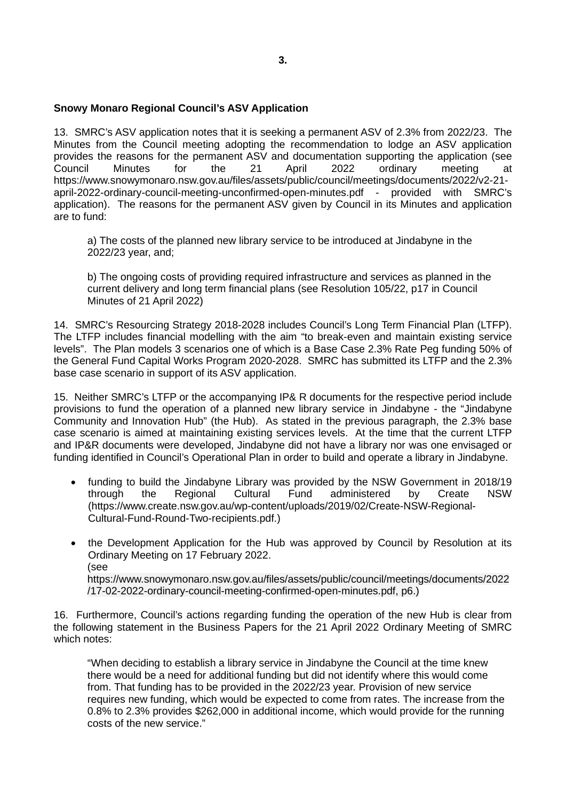#### **Snowy Monaro Regional Council's ASV Application**

13. SMRC's ASV application notes that it is seeking a permanent ASV of 2.3% from 2022/23. The Minutes from the Council meeting adopting the recommendation to lodge an ASV application provides the reasons for the permanent ASV and documentation supporting the application (see Council Minutes for the 21 April 2022 ordinary meeting at https://www.snowymonaro.nsw.gov.au/files/assets/public/council/meetings/documents/2022/v2-21 april-2022-ordinary-council-meeting-unconfirmed-open-minutes.pdf - provided with SMRC's application). The reasons for the permanent ASV given by Council in its Minutes and application are to fund:

a) The costs of the planned new library service to be introduced at Jindabyne in the 2022/23 year, and;

b) The ongoing costs of providing required infrastructure and services as planned in the current delivery and long term financial plans (see Resolution 105/22, p17 in Council Minutes of 21 April 2022)

14. SMRC's Resourcing Strategy 2018-2028 includes Council's Long Term Financial Plan (LTFP). The LTFP includes financial modelling with the aim "to break-even and maintain existing service levels". The Plan models 3 scenarios one of which is a Base Case 2.3% Rate Peg funding 50% of the General Fund Capital Works Program 2020-2028. SMRC has submitted its LTFP and the 2.3% base case scenario in support of its ASV application.

15. Neither SMRC's LTFP or the accompanying IP& R documents for the respective period include provisions to fund the operation of a planned new library service in Jindabyne - the "Jindabyne Community and Innovation Hub" (the Hub). As stated in the previous paragraph, the 2.3% base case scenario is aimed at maintaining existing services levels. At the time that the current LTFP and IP&R documents were developed, Jindabyne did not have a library nor was one envisaged or funding identified in Council's Operational Plan in order to build and operate a library in Jindabyne.

- funding to build the Jindabyne Library was provided by the NSW Government in 2018/19 through the Regional Cultural Fund administered by Create NSW (https://www.create.nsw.gov.au/wp-content/uploads/2019/02/Create-NSW-Regional-Cultural-Fund-Round-Two-recipients.pdf.)
- the Development Application for the Hub was approved by Council by Resolution at its Ordinary Meeting on 17 February 2022. (see https://www.snowymonaro.nsw.gov.au/files/assets/public/council/meetings/documents/2022 /17-02-2022-ordinary-council-meeting-confirmed-open-minutes.pdf, p6.)

16. Furthermore, Council's actions regarding funding the operation of the new Hub is clear from the following statement in the Business Papers for the 21 April 2022 Ordinary Meeting of SMRC which notes:

"When deciding to establish a library service in Jindabyne the Council at the time knew there would be a need for additional funding but did not identify where this would come from. That funding has to be provided in the 2022/23 year. Provision of new service requires new funding, which would be expected to come from rates. The increase from the 0.8% to 2.3% provides \$262,000 in additional income, which would provide for the running costs of the new service."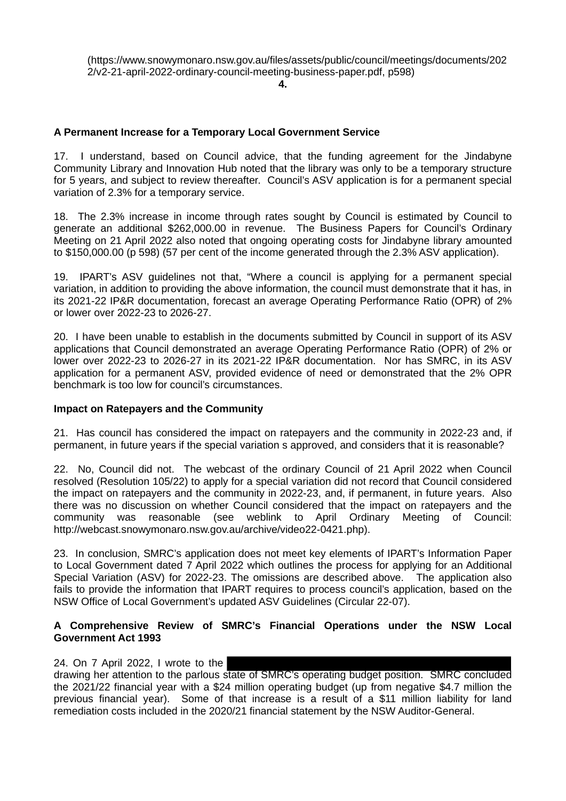**4.**

# **A Permanent Increase for a Temporary Local Government Service**

17. I understand, based on Council advice, that the funding agreement for the Jindabyne Community Library and Innovation Hub noted that the library was only to be a temporary structure for 5 years, and subject to review thereafter. Council's ASV application is for a permanent special variation of 2.3% for a temporary service.

18. The 2.3% increase in income through rates sought by Council is estimated by Council to generate an additional \$262,000.00 in revenue. The Business Papers for Council's Ordinary Meeting on 21 April 2022 also noted that ongoing operating costs for Jindabyne library amounted to \$150,000.00 (p 598) (57 per cent of the income generated through the 2.3% ASV application).

19. IPART's ASV guidelines not that, "Where a council is applying for a permanent special variation, in addition to providing the above information, the council must demonstrate that it has, in its 2021-22 IP&R documentation, forecast an average Operating Performance Ratio (OPR) of 2% or lower over 2022-23 to 2026-27.

20. I have been unable to establish in the documents submitted by Council in support of its ASV applications that Council demonstrated an average Operating Performance Ratio (OPR) of 2% or lower over 2022-23 to 2026-27 in its 2021-22 IP&R documentation. Nor has SMRC, in its ASV application for a permanent ASV, provided evidence of need or demonstrated that the 2% OPR benchmark is too low for council's circumstances.

## **Impact on Ratepayers and the Community**

21. Has council has considered the impact on ratepayers and the community in 2022-23 and, if permanent, in future years if the special variation s approved, and considers that it is reasonable?

22. No, Council did not. The webcast of the ordinary Council of 21 April 2022 when Council resolved (Resolution 105/22) to apply for a special variation did not record that Council considered the impact on ratepayers and the community in 2022-23, and, if permanent, in future years. Also there was no discussion on whether Council considered that the impact on ratepayers and the community was reasonable (see weblink to April Ordinary Meeting of Council: http://webcast.snowymonaro.nsw.gov.au/archive/video22-0421.php).

23. In conclusion, SMRC's application does not meet key elements of IPART's Information Paper to Local Government dated 7 April 2022 which outlines the process for applying for an Additional Special Variation (ASV) for 2022-23. The omissions are described above. The application also fails to provide the information that IPART requires to process council's application, based on the NSW Office of Local Government's updated ASV Guidelines (Circular 22-07).

## **A Comprehensive Review of SMRC's Financial Operations under the NSW Local Government Act 1993**

24. On 7 April 2022, I wrote to the

drawing her attention to the parlous state of SMRC's operating budget position. SMRC concluded the 2021/22 financial year with a \$24 million operating budget (up from negative \$4.7 million the previous financial year). Some of that increase is a result of a \$11 million liability for land remediation costs included in the 2020/21 financial statement by the NSW Auditor-General.